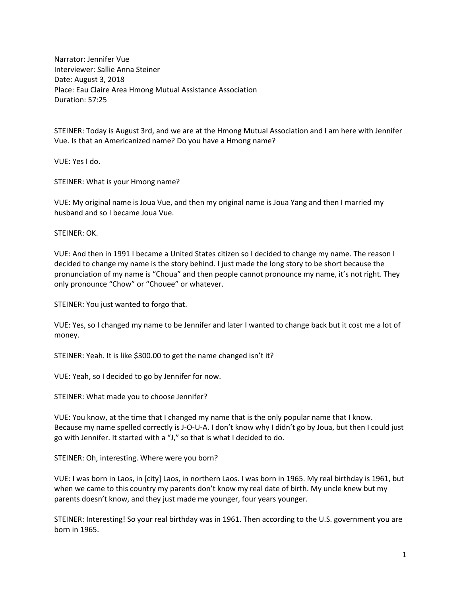Narrator: Jennifer Vue Interviewer: Sallie Anna Steiner Date: August 3, 2018 Place: Eau Claire Area Hmong Mutual Assistance Association Duration: 57:25

STEINER: Today is August 3rd, and we are at the Hmong Mutual Association and I am here with Jennifer Vue. Is that an Americanized name? Do you have a Hmong name?

VUE: Yes I do.

STEINER: What is your Hmong name?

VUE: My original name is Joua Vue, and then my original name is Joua Yang and then I married my husband and so I became Joua Vue.

STEINER: OK.

VUE: And then in 1991 I became a United States citizen so I decided to change my name. The reason I decided to change my name is the story behind. I just made the long story to be short because the pronunciation of my name is "Choua" and then people cannot pronounce my name, it's not right. They only pronounce "Chow" or "Chouee" or whatever.

STEINER: You just wanted to forgo that.

VUE: Yes, so I changed my name to be Jennifer and later I wanted to change back but it cost me a lot of money.

STEINER: Yeah. It is like \$300.00 to get the name changed isn't it?

VUE: Yeah, so I decided to go by Jennifer for now.

STEINER: What made you to choose Jennifer?

VUE: You know, at the time that I changed my name that is the only popular name that I know. Because my name spelled correctly is J-O-U-A. I don't know why I didn't go by Joua, but then I could just go with Jennifer. It started with a "J," so that is what I decided to do.

STEINER: Oh, interesting. Where were you born?

VUE: I was born in Laos, in [city] Laos, in northern Laos. I was born in 1965. My real birthday is 1961, but when we came to this country my parents don't know my real date of birth. My uncle knew but my parents doesn't know, and they just made me younger, four years younger.

STEINER: Interesting! So your real birthday was in 1961. Then according to the U.S. government you are born in 1965.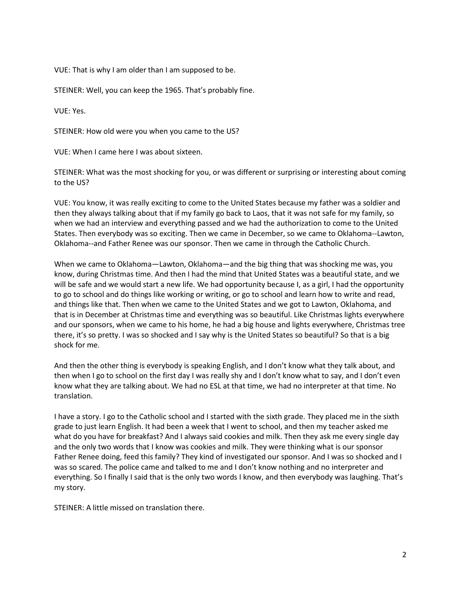VUE: That is why I am older than I am supposed to be.

STEINER: Well, you can keep the 1965. That's probably fine.

VUE: Yes.

STEINER: How old were you when you came to the US?

VUE: When I came here I was about sixteen.

STEINER: What was the most shocking for you, or was different or surprising or interesting about coming to the US?

VUE: You know, it was really exciting to come to the United States because my father was a soldier and then they always talking about that if my family go back to Laos, that it was not safe for my family, so when we had an interview and everything passed and we had the authorization to come to the United States. Then everybody was so exciting. Then we came in December, so we came to Oklahoma--Lawton, Oklahoma--and Father Renee was our sponsor. Then we came in through the Catholic Church.

When we came to Oklahoma—Lawton, Oklahoma—and the big thing that was shocking me was, you know, during Christmas time. And then I had the mind that United States was a beautiful state, and we will be safe and we would start a new life. We had opportunity because I, as a girl, I had the opportunity to go to school and do things like working or writing, or go to school and learn how to write and read, and things like that. Then when we came to the United States and we got to Lawton, Oklahoma, and that is in December at Christmas time and everything was so beautiful. Like Christmas lights everywhere and our sponsors, when we came to his home, he had a big house and lights everywhere, Christmas tree there, it's so pretty. I was so shocked and I say why is the United States so beautiful? So that is a big shock for me.

And then the other thing is everybody is speaking English, and I don't know what they talk about, and then when I go to school on the first day I was really shy and I don't know what to say, and I don't even know what they are talking about. We had no ESL at that time, we had no interpreter at that time. No translation.

I have a story. I go to the Catholic school and I started with the sixth grade. They placed me in the sixth grade to just learn English. It had been a week that I went to school, and then my teacher asked me what do you have for breakfast? And I always said cookies and milk. Then they ask me every single day and the only two words that I know was cookies and milk. They were thinking what is our sponsor Father Renee doing, feed this family? They kind of investigated our sponsor. And I was so shocked and I was so scared. The police came and talked to me and I don't know nothing and no interpreter and everything. So I finally I said that is the only two words I know, and then everybody was laughing. That's my story.

STEINER: A little missed on translation there.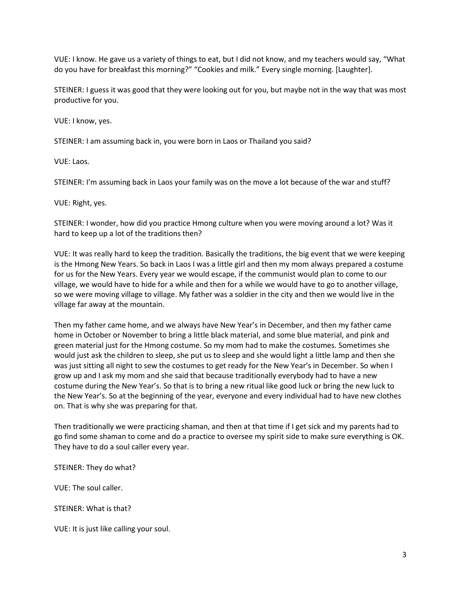VUE: I know. He gave us a variety of things to eat, but I did not know, and my teachers would say, "What do you have for breakfast this morning?" "Cookies and milk." Every single morning. [Laughter].

STEINER: I guess it was good that they were looking out for you, but maybe not in the way that was most productive for you.

VUE: I know, yes.

STEINER: I am assuming back in, you were born in Laos or Thailand you said?

VUE: Laos.

STEINER: I'm assuming back in Laos your family was on the move a lot because of the war and stuff?

VUE: Right, yes.

STEINER: I wonder, how did you practice Hmong culture when you were moving around a lot? Was it hard to keep up a lot of the traditions then?

VUE: It was really hard to keep the tradition. Basically the traditions, the big event that we were keeping is the Hmong New Years. So back in Laos I was a little girl and then my mom always prepared a costume for us for the New Years. Every year we would escape, if the communist would plan to come to our village, we would have to hide for a while and then for a while we would have to go to another village, so we were moving village to village. My father was a soldier in the city and then we would live in the village far away at the mountain.

Then my father came home, and we always have New Year's in December, and then my father came home in October or November to bring a little black material, and some blue material, and pink and green material just for the Hmong costume. So my mom had to make the costumes. Sometimes she would just ask the children to sleep, she put us to sleep and she would light a little lamp and then she was just sitting all night to sew the costumes to get ready for the New Year's in December. So when I grow up and I ask my mom and she said that because traditionally everybody had to have a new costume during the New Year's. So that is to bring a new ritual like good luck or bring the new luck to the New Year's. So at the beginning of the year, everyone and every individual had to have new clothes on. That is why she was preparing for that.

Then traditionally we were practicing shaman, and then at that time if I get sick and my parents had to go find some shaman to come and do a practice to oversee my spirit side to make sure everything is OK. They have to do a soul caller every year.

STEINER: They do what?

VUE: The soul caller.

STEINER: What is that?

VUE: It is just like calling your soul.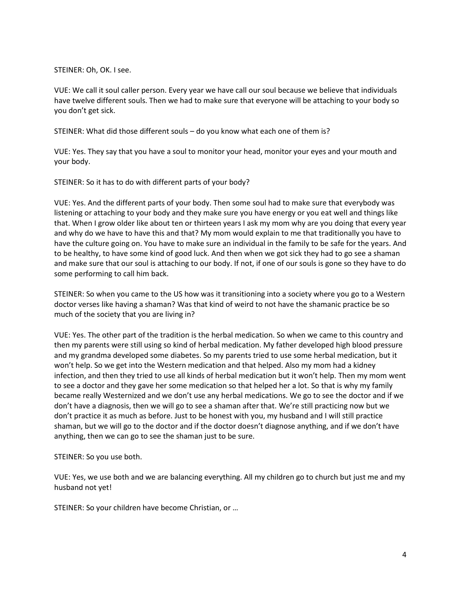STEINER: Oh, OK. I see.

VUE: We call it soul caller person. Every year we have call our soul because we believe that individuals have twelve different souls. Then we had to make sure that everyone will be attaching to your body so you don't get sick.

STEINER: What did those different souls – do you know what each one of them is?

VUE: Yes. They say that you have a soul to monitor your head, monitor your eyes and your mouth and your body.

STEINER: So it has to do with different parts of your body?

VUE: Yes. And the different parts of your body. Then some soul had to make sure that everybody was listening or attaching to your body and they make sure you have energy or you eat well and things like that. When I grow older like about ten or thirteen years I ask my mom why are you doing that every year and why do we have to have this and that? My mom would explain to me that traditionally you have to have the culture going on. You have to make sure an individual in the family to be safe for the years. And to be healthy, to have some kind of good luck. And then when we got sick they had to go see a shaman and make sure that our soul is attaching to our body. If not, if one of our souls is gone so they have to do some performing to call him back.

STEINER: So when you came to the US how was it transitioning into a society where you go to a Western doctor verses like having a shaman? Was that kind of weird to not have the shamanic practice be so much of the society that you are living in?

VUE: Yes. The other part of the tradition is the herbal medication. So when we came to this country and then my parents were still using so kind of herbal medication. My father developed high blood pressure and my grandma developed some diabetes. So my parents tried to use some herbal medication, but it won't help. So we get into the Western medication and that helped. Also my mom had a kidney infection, and then they tried to use all kinds of herbal medication but it won't help. Then my mom went to see a doctor and they gave her some medication so that helped her a lot. So that is why my family became really Westernized and we don't use any herbal medications. We go to see the doctor and if we don't have a diagnosis, then we will go to see a shaman after that. We're still practicing now but we don't practice it as much as before. Just to be honest with you, my husband and I will still practice shaman, but we will go to the doctor and if the doctor doesn't diagnose anything, and if we don't have anything, then we can go to see the shaman just to be sure.

STEINER: So you use both.

VUE: Yes, we use both and we are balancing everything. All my children go to church but just me and my husband not yet!

STEINER: So your children have become Christian, or …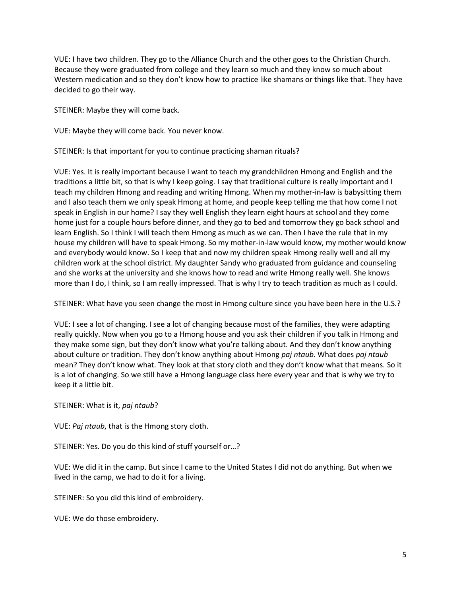VUE: I have two children. They go to the Alliance Church and the other goes to the Christian Church. Because they were graduated from college and they learn so much and they know so much about Western medication and so they don't know how to practice like shamans or things like that. They have decided to go their way.

STEINER: Maybe they will come back.

VUE: Maybe they will come back. You never know.

STEINER: Is that important for you to continue practicing shaman rituals?

VUE: Yes. It is really important because I want to teach my grandchildren Hmong and English and the traditions a little bit, so that is why I keep going. I say that traditional culture is really important and I teach my children Hmong and reading and writing Hmong. When my mother-in-law is babysitting them and I also teach them we only speak Hmong at home, and people keep telling me that how come I not speak in English in our home? I say they well English they learn eight hours at school and they come home just for a couple hours before dinner, and they go to bed and tomorrow they go back school and learn English. So I think I will teach them Hmong as much as we can. Then I have the rule that in my house my children will have to speak Hmong. So my mother-in-law would know, my mother would know and everybody would know. So I keep that and now my children speak Hmong really well and all my children work at the school district. My daughter Sandy who graduated from guidance and counseling and she works at the university and she knows how to read and write Hmong really well. She knows more than I do, I think, so I am really impressed. That is why I try to teach tradition as much as I could.

STEINER: What have you seen change the most in Hmong culture since you have been here in the U.S.?

VUE: I see a lot of changing. I see a lot of changing because most of the families, they were adapting really quickly. Now when you go to a Hmong house and you ask their children if you talk in Hmong and they make some sign, but they don't know what you're talking about. And they don't know anything about culture or tradition. They don't know anything about Hmong *paj ntaub*. What does *paj ntaub* mean? They don't know what. They look at that story cloth and they don't know what that means. So it is a lot of changing. So we still have a Hmong language class here every year and that is why we try to keep it a little bit.

STEINER: What is it, *paj ntaub*?

VUE: *Paj ntaub*, that is the Hmong story cloth.

STEINER: Yes. Do you do this kind of stuff yourself or…?

VUE: We did it in the camp. But since I came to the United States I did not do anything. But when we lived in the camp, we had to do it for a living.

STEINER: So you did this kind of embroidery.

VUE: We do those embroidery.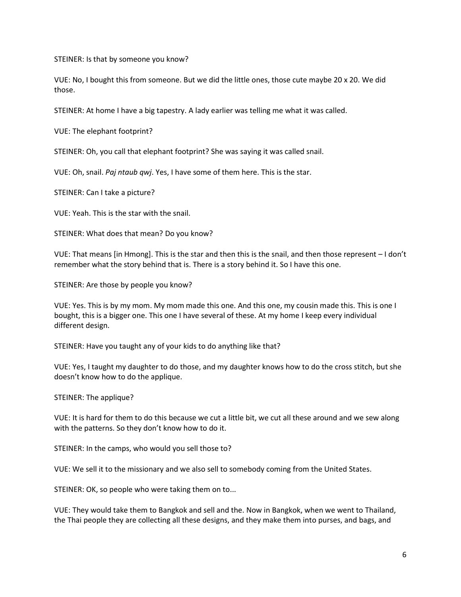STEINER: Is that by someone you know?

VUE: No, I bought this from someone. But we did the little ones, those cute maybe 20 x 20. We did those.

STEINER: At home I have a big tapestry. A lady earlier was telling me what it was called.

VUE: The elephant footprint?

STEINER: Oh, you call that elephant footprint? She was saying it was called snail.

VUE: Oh, snail. *Paj ntaub qwj*. Yes, I have some of them here. This is the star.

STEINER: Can I take a picture?

VUE: Yeah. This is the star with the snail.

STEINER: What does that mean? Do you know?

VUE: That means [in Hmong]. This is the star and then this is the snail, and then those represent – I don't remember what the story behind that is. There is a story behind it. So I have this one.

STEINER: Are those by people you know?

VUE: Yes. This is by my mom. My mom made this one. And this one, my cousin made this. This is one I bought, this is a bigger one. This one I have several of these. At my home I keep every individual different design.

STEINER: Have you taught any of your kids to do anything like that?

VUE: Yes, I taught my daughter to do those, and my daughter knows how to do the cross stitch, but she doesn't know how to do the applique.

STEINER: The applique?

VUE: It is hard for them to do this because we cut a little bit, we cut all these around and we sew along with the patterns. So they don't know how to do it.

STEINER: In the camps, who would you sell those to?

VUE: We sell it to the missionary and we also sell to somebody coming from the United States.

STEINER: OK, so people who were taking them on to...

VUE: They would take them to Bangkok and sell and the. Now in Bangkok, when we went to Thailand, the Thai people they are collecting all these designs, and they make them into purses, and bags, and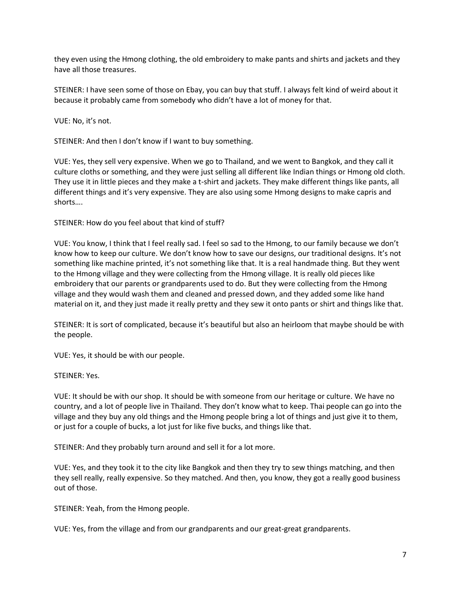they even using the Hmong clothing, the old embroidery to make pants and shirts and jackets and they have all those treasures.

STEINER: I have seen some of those on Ebay, you can buy that stuff. I always felt kind of weird about it because it probably came from somebody who didn't have a lot of money for that.

VUE: No, it's not.

STEINER: And then I don't know if I want to buy something.

VUE: Yes, they sell very expensive. When we go to Thailand, and we went to Bangkok, and they call it culture cloths or something, and they were just selling all different like Indian things or Hmong old cloth. They use it in little pieces and they make a t-shirt and jackets. They make different things like pants, all different things and it's very expensive. They are also using some Hmong designs to make capris and shorts….

STEINER: How do you feel about that kind of stuff?

VUE: You know, I think that I feel really sad. I feel so sad to the Hmong, to our family because we don't know how to keep our culture. We don't know how to save our designs, our traditional designs. It's not something like machine printed, it's not something like that. It is a real handmade thing. But they went to the Hmong village and they were collecting from the Hmong village. It is really old pieces like embroidery that our parents or grandparents used to do. But they were collecting from the Hmong village and they would wash them and cleaned and pressed down, and they added some like hand material on it, and they just made it really pretty and they sew it onto pants or shirt and things like that.

STEINER: It is sort of complicated, because it's beautiful but also an heirloom that maybe should be with the people.

VUE: Yes, it should be with our people.

STEINER: Yes.

VUE: It should be with our shop. It should be with someone from our heritage or culture. We have no country, and a lot of people live in Thailand. They don't know what to keep. Thai people can go into the village and they buy any old things and the Hmong people bring a lot of things and just give it to them, or just for a couple of bucks, a lot just for like five bucks, and things like that.

STEINER: And they probably turn around and sell it for a lot more.

VUE: Yes, and they took it to the city like Bangkok and then they try to sew things matching, and then they sell really, really expensive. So they matched. And then, you know, they got a really good business out of those.

STEINER: Yeah, from the Hmong people.

VUE: Yes, from the village and from our grandparents and our great-great grandparents.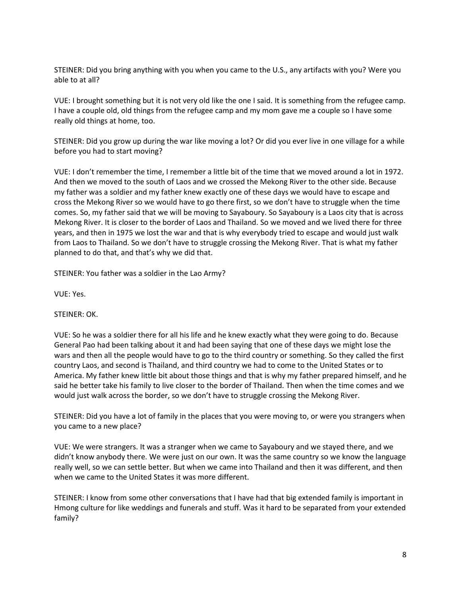STEINER: Did you bring anything with you when you came to the U.S., any artifacts with you? Were you able to at all?

VUE: I brought something but it is not very old like the one I said. It is something from the refugee camp. I have a couple old, old things from the refugee camp and my mom gave me a couple so I have some really old things at home, too.

STEINER: Did you grow up during the war like moving a lot? Or did you ever live in one village for a while before you had to start moving?

VUE: I don't remember the time, I remember a little bit of the time that we moved around a lot in 1972. And then we moved to the south of Laos and we crossed the Mekong River to the other side. Because my father was a soldier and my father knew exactly one of these days we would have to escape and cross the Mekong River so we would have to go there first, so we don't have to struggle when the time comes. So, my father said that we will be moving to Sayaboury. So Sayaboury is a Laos city that is across Mekong River. It is closer to the border of Laos and Thailand. So we moved and we lived there for three years, and then in 1975 we lost the war and that is why everybody tried to escape and would just walk from Laos to Thailand. So we don't have to struggle crossing the Mekong River. That is what my father planned to do that, and that's why we did that.

STEINER: You father was a soldier in the Lao Army?

VUE: Yes.

STEINER: OK.

VUE: So he was a soldier there for all his life and he knew exactly what they were going to do. Because General Pao had been talking about it and had been saying that one of these days we might lose the wars and then all the people would have to go to the third country or something. So they called the first country Laos, and second is Thailand, and third country we had to come to the United States or to America. My father knew little bit about those things and that is why my father prepared himself, and he said he better take his family to live closer to the border of Thailand. Then when the time comes and we would just walk across the border, so we don't have to struggle crossing the Mekong River.

STEINER: Did you have a lot of family in the places that you were moving to, or were you strangers when you came to a new place?

VUE: We were strangers. It was a stranger when we came to Sayaboury and we stayed there, and we didn't know anybody there. We were just on our own. It was the same country so we know the language really well, so we can settle better. But when we came into Thailand and then it was different, and then when we came to the United States it was more different.

STEINER: I know from some other conversations that I have had that big extended family is important in Hmong culture for like weddings and funerals and stuff. Was it hard to be separated from your extended family?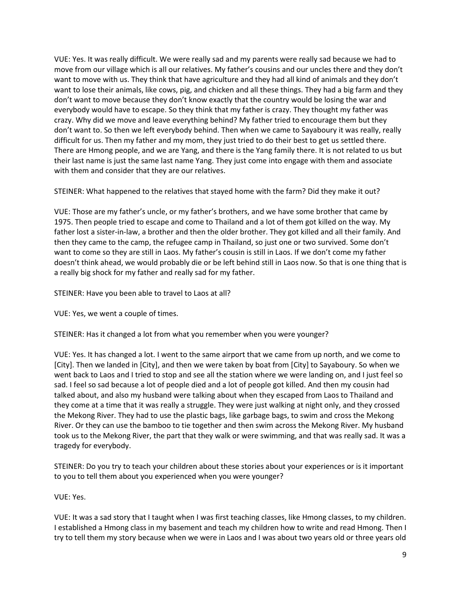VUE: Yes. It was really difficult. We were really sad and my parents were really sad because we had to move from our village which is all our relatives. My father's cousins and our uncles there and they don't want to move with us. They think that have agriculture and they had all kind of animals and they don't want to lose their animals, like cows, pig, and chicken and all these things. They had a big farm and they don't want to move because they don't know exactly that the country would be losing the war and everybody would have to escape. So they think that my father is crazy. They thought my father was crazy. Why did we move and leave everything behind? My father tried to encourage them but they don't want to. So then we left everybody behind. Then when we came to Sayaboury it was really, really difficult for us. Then my father and my mom, they just tried to do their best to get us settled there. There are Hmong people, and we are Yang, and there is the Yang family there. It is not related to us but their last name is just the same last name Yang. They just come into engage with them and associate with them and consider that they are our relatives.

STEINER: What happened to the relatives that stayed home with the farm? Did they make it out?

VUE: Those are my father's uncle, or my father's brothers, and we have some brother that came by 1975. Then people tried to escape and come to Thailand and a lot of them got killed on the way. My father lost a sister-in-law, a brother and then the older brother. They got killed and all their family. And then they came to the camp, the refugee camp in Thailand, so just one or two survived. Some don't want to come so they are still in Laos. My father's cousin is still in Laos. If we don't come my father doesn't think ahead, we would probably die or be left behind still in Laos now. So that is one thing that is a really big shock for my father and really sad for my father.

STEINER: Have you been able to travel to Laos at all?

VUE: Yes, we went a couple of times.

STEINER: Has it changed a lot from what you remember when you were younger?

VUE: Yes. It has changed a lot. I went to the same airport that we came from up north, and we come to [City]. Then we landed in [City], and then we were taken by boat from [City] to Sayaboury. So when we went back to Laos and I tried to stop and see all the station where we were landing on, and I just feel so sad. I feel so sad because a lot of people died and a lot of people got killed. And then my cousin had talked about, and also my husband were talking about when they escaped from Laos to Thailand and they come at a time that it was really a struggle. They were just walking at night only, and they crossed the Mekong River. They had to use the plastic bags, like garbage bags, to swim and cross the Mekong River. Or they can use the bamboo to tie together and then swim across the Mekong River. My husband took us to the Mekong River, the part that they walk or were swimming, and that was really sad. It was a tragedy for everybody.

STEINER: Do you try to teach your children about these stories about your experiences or is it important to you to tell them about you experienced when you were younger?

VUE: Yes.

VUE: It was a sad story that I taught when I was first teaching classes, like Hmong classes, to my children. I established a Hmong class in my basement and teach my children how to write and read Hmong. Then I try to tell them my story because when we were in Laos and I was about two years old or three years old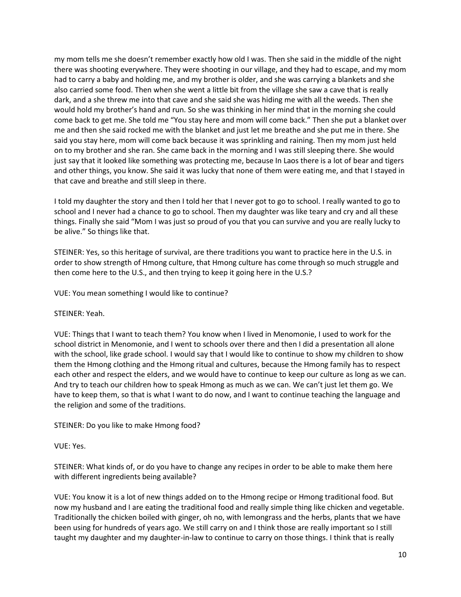my mom tells me she doesn't remember exactly how old I was. Then she said in the middle of the night there was shooting everywhere. They were shooting in our village, and they had to escape, and my mom had to carry a baby and holding me, and my brother is older, and she was carrying a blankets and she also carried some food. Then when she went a little bit from the village she saw a cave that is really dark, and a she threw me into that cave and she said she was hiding me with all the weeds. Then she would hold my brother's hand and run. So she was thinking in her mind that in the morning she could come back to get me. She told me "You stay here and mom will come back." Then she put a blanket over me and then she said rocked me with the blanket and just let me breathe and she put me in there. She said you stay here, mom will come back because it was sprinkling and raining. Then my mom just held on to my brother and she ran. She came back in the morning and I was still sleeping there. She would just say that it looked like something was protecting me, because In Laos there is a lot of bear and tigers and other things, you know. She said it was lucky that none of them were eating me, and that I stayed in that cave and breathe and still sleep in there.

I told my daughter the story and then I told her that I never got to go to school. I really wanted to go to school and I never had a chance to go to school. Then my daughter was like teary and cry and all these things. Finally she said "Mom I was just so proud of you that you can survive and you are really lucky to be alive." So things like that.

STEINER: Yes, so this heritage of survival, are there traditions you want to practice here in the U.S. in order to show strength of Hmong culture, that Hmong culture has come through so much struggle and then come here to the U.S., and then trying to keep it going here in the U.S.?

VUE: You mean something I would like to continue?

STEINER: Yeah.

VUE: Things that I want to teach them? You know when I lived in Menomonie, I used to work for the school district in Menomonie, and I went to schools over there and then I did a presentation all alone with the school, like grade school. I would say that I would like to continue to show my children to show them the Hmong clothing and the Hmong ritual and cultures, because the Hmong family has to respect each other and respect the elders, and we would have to continue to keep our culture as long as we can. And try to teach our children how to speak Hmong as much as we can. We can't just let them go. We have to keep them, so that is what I want to do now, and I want to continue teaching the language and the religion and some of the traditions.

STEINER: Do you like to make Hmong food?

VUE: Yes.

STEINER: What kinds of, or do you have to change any recipes in order to be able to make them here with different ingredients being available?

VUE: You know it is a lot of new things added on to the Hmong recipe or Hmong traditional food. But now my husband and I are eating the traditional food and really simple thing like chicken and vegetable. Traditionally the chicken boiled with ginger, oh no, with lemongrass and the herbs, plants that we have been using for hundreds of years ago. We still carry on and I think those are really important so I still taught my daughter and my daughter-in-law to continue to carry on those things. I think that is really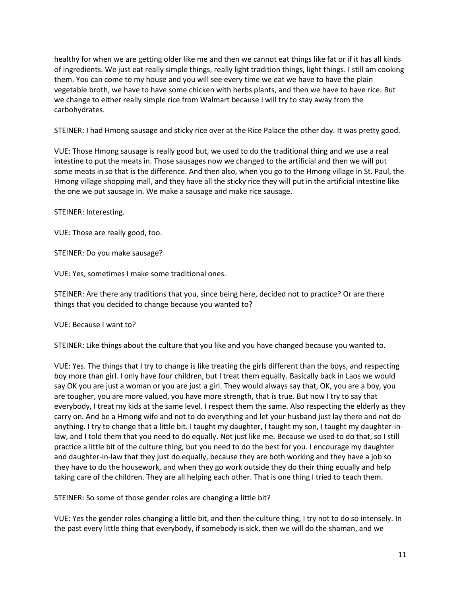healthy for when we are getting older like me and then we cannot eat things like fat or if it has all kinds of ingredients. We just eat really simple things, really light tradition things, light things. I still am cooking them. You can come to my house and you will see every time we eat we have to have the plain vegetable broth, we have to have some chicken with herbs plants, and then we have to have rice. But we change to either really simple rice from Walmart because I will try to stay away from the carbohydrates.

STEINER: I had Hmong sausage and sticky rice over at the Rice Palace the other day. It was pretty good.

VUE: Those Hmong sausage is really good but, we used to do the traditional thing and we use a real intestine to put the meats in. Those sausages now we changed to the artificial and then we will put some meats in so that is the difference. And then also, when you go to the Hmong village in St. Paul, the Hmong village shopping mall, and they have all the sticky rice they will put in the artificial intestine like the one we put sausage in. We make a sausage and make rice sausage.

STEINER: Interesting.

VUE: Those are really good, too.

STEINER: Do you make sausage?

VUE: Yes, sometimes I make some traditional ones.

STEINER: Are there any traditions that you, since being here, decided not to practice? Or are there things that you decided to change because you wanted to?

VUE: Because I want to?

STEINER: Like things about the culture that you like and you have changed because you wanted to.

VUE: Yes. The things that I try to change is like treating the girls different than the boys, and respecting boy more than girl. I only have four children, but I treat them equally. Basically back in Laos we would say OK you are just a woman or you are just a girl. They would always say that, OK, you are a boy, you are tougher, you are more valued, you have more strength, that is true. But now I try to say that everybody, I treat my kids at the same level. I respect them the same. Also respecting the elderly as they carry on. And be a Hmong wife and not to do everything and let your husband just lay there and not do anything. I try to change that a little bit. I taught my daughter, I taught my son, I taught my daughter-inlaw, and I told them that you need to do equally. Not just like me. Because we used to do that, so I still practice a little bit of the culture thing, but you need to do the best for you. I encourage my daughter and daughter-in-law that they just do equally, because they are both working and they have a job so they have to do the housework, and when they go work outside they do their thing equally and help taking care of the children. They are all helping each other. That is one thing I tried to teach them.

STEINER: So some of those gender roles are changing a little bit?

VUE: Yes the gender roles changing a little bit, and then the culture thing, I try not to do so intensely. In the past every little thing that everybody, if somebody is sick, then we will do the shaman, and we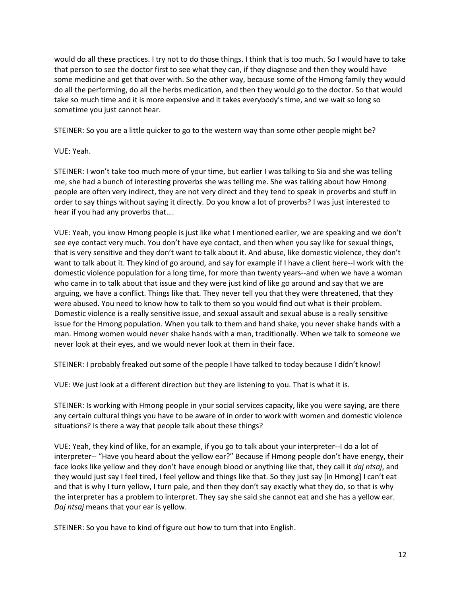would do all these practices. I try not to do those things. I think that is too much. So I would have to take that person to see the doctor first to see what they can, if they diagnose and then they would have some medicine and get that over with. So the other way, because some of the Hmong family they would do all the performing, do all the herbs medication, and then they would go to the doctor. So that would take so much time and it is more expensive and it takes everybody's time, and we wait so long so sometime you just cannot hear.

STEINER: So you are a little quicker to go to the western way than some other people might be?

VUE: Yeah.

STEINER: I won't take too much more of your time, but earlier I was talking to Sia and she was telling me, she had a bunch of interesting proverbs she was telling me. She was talking about how Hmong people are often very indirect, they are not very direct and they tend to speak in proverbs and stuff in order to say things without saying it directly. Do you know a lot of proverbs? I was just interested to hear if you had any proverbs that….

VUE: Yeah, you know Hmong people is just like what I mentioned earlier, we are speaking and we don't see eye contact very much. You don't have eye contact, and then when you say like for sexual things, that is very sensitive and they don't want to talk about it. And abuse, like domestic violence, they don't want to talk about it. They kind of go around, and say for example if I have a client here--I work with the domestic violence population for a long time, for more than twenty years--and when we have a woman who came in to talk about that issue and they were just kind of like go around and say that we are arguing, we have a conflict. Things like that. They never tell you that they were threatened, that they were abused. You need to know how to talk to them so you would find out what is their problem. Domestic violence is a really sensitive issue, and sexual assault and sexual abuse is a really sensitive issue for the Hmong population. When you talk to them and hand shake, you never shake hands with a man. Hmong women would never shake hands with a man, traditionally. When we talk to someone we never look at their eyes, and we would never look at them in their face.

STEINER: I probably freaked out some of the people I have talked to today because I didn't know!

VUE: We just look at a different direction but they are listening to you. That is what it is.

STEINER: Is working with Hmong people in your social services capacity, like you were saying, are there any certain cultural things you have to be aware of in order to work with women and domestic violence situations? Is there a way that people talk about these things?

VUE: Yeah, they kind of like, for an example, if you go to talk about your interpreter--I do a lot of interpreter-- "Have you heard about the yellow ear?" Because if Hmong people don't have energy, their face looks like yellow and they don't have enough blood or anything like that, they call it *daj ntsaj*, and they would just say I feel tired, I feel yellow and things like that. So they just say [in Hmong] I can't eat and that is why I turn yellow, I turn pale, and then they don't say exactly what they do, so that is why the interpreter has a problem to interpret. They say she said she cannot eat and she has a yellow ear. *Daj ntsaj* means that your ear is yellow.

STEINER: So you have to kind of figure out how to turn that into English.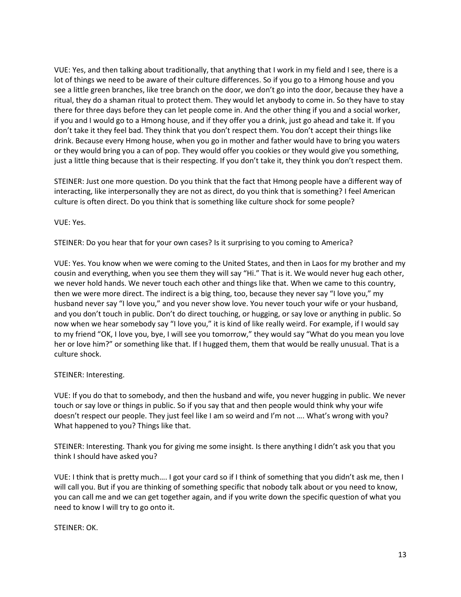VUE: Yes, and then talking about traditionally, that anything that I work in my field and I see, there is a lot of things we need to be aware of their culture differences. So if you go to a Hmong house and you see a little green branches, like tree branch on the door, we don't go into the door, because they have a ritual, they do a shaman ritual to protect them. They would let anybody to come in. So they have to stay there for three days before they can let people come in. And the other thing if you and a social worker, if you and I would go to a Hmong house, and if they offer you a drink, just go ahead and take it. If you don't take it they feel bad. They think that you don't respect them. You don't accept their things like drink. Because every Hmong house, when you go in mother and father would have to bring you waters or they would bring you a can of pop. They would offer you cookies or they would give you something, just a little thing because that is their respecting. If you don't take it, they think you don't respect them.

STEINER: Just one more question. Do you think that the fact that Hmong people have a different way of interacting, like interpersonally they are not as direct, do you think that is something? I feel American culture is often direct. Do you think that is something like culture shock for some people?

VUE: Yes.

STEINER: Do you hear that for your own cases? Is it surprising to you coming to America?

VUE: Yes. You know when we were coming to the United States, and then in Laos for my brother and my cousin and everything, when you see them they will say "Hi." That is it. We would never hug each other, we never hold hands. We never touch each other and things like that. When we came to this country, then we were more direct. The indirect is a big thing, too, because they never say "I love you," my husband never say "I love you," and you never show love. You never touch your wife or your husband, and you don't touch in public. Don't do direct touching, or hugging, or say love or anything in public. So now when we hear somebody say "I love you," it is kind of like really weird. For example, if I would say to my friend "OK, I love you, bye, I will see you tomorrow," they would say "What do you mean you love her or love him?" or something like that. If I hugged them, them that would be really unusual. That is a culture shock.

## STEINER: Interesting.

VUE: If you do that to somebody, and then the husband and wife, you never hugging in public. We never touch or say love or things in public. So if you say that and then people would think why your wife doesn't respect our people. They just feel like I am so weird and I'm not …. What's wrong with you? What happened to you? Things like that.

STEINER: Interesting. Thank you for giving me some insight. Is there anything I didn't ask you that you think I should have asked you?

VUE: I think that is pretty much…. I got your card so if I think of something that you didn't ask me, then I will call you. But if you are thinking of something specific that nobody talk about or you need to know, you can call me and we can get together again, and if you write down the specific question of what you need to know I will try to go onto it.

STEINER: OK.